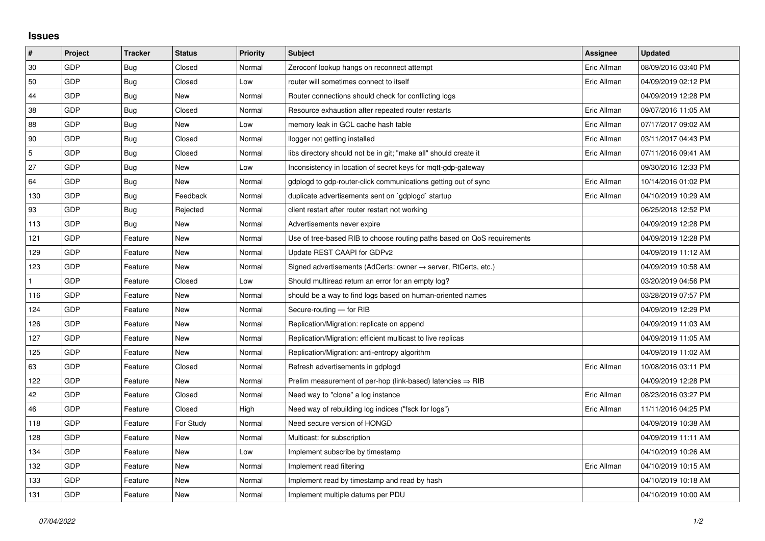## **Issues**

| #   | Project | <b>Tracker</b> | <b>Status</b> | <b>Priority</b> | <b>Subject</b>                                                             | Assignee    | <b>Updated</b>      |
|-----|---------|----------------|---------------|-----------------|----------------------------------------------------------------------------|-------------|---------------------|
| 30  | GDP     | <b>Bug</b>     | Closed        | Normal          | Zeroconf lookup hangs on reconnect attempt                                 | Eric Allman | 08/09/2016 03:40 PM |
| 50  | GDP     | <b>Bug</b>     | Closed        | Low             | router will sometimes connect to itself                                    | Eric Allman | 04/09/2019 02:12 PM |
| 44  | GDP     | <b>Bug</b>     | <b>New</b>    | Normal          | Router connections should check for conflicting logs                       |             | 04/09/2019 12:28 PM |
| 38  | GDP     | Bug            | Closed        | Normal          | Resource exhaustion after repeated router restarts                         | Eric Allman | 09/07/2016 11:05 AM |
| 88  | GDP     | <b>Bug</b>     | New           | Low             | memory leak in GCL cache hash table                                        | Eric Allman | 07/17/2017 09:02 AM |
| 90  | GDP     | Bug            | Closed        | Normal          | llogger not getting installed                                              | Eric Allman | 03/11/2017 04:43 PM |
| 5   | GDP     | <b>Bug</b>     | Closed        | Normal          | libs directory should not be in git; "make all" should create it           | Eric Allman | 07/11/2016 09:41 AM |
| 27  | GDP     | Bug            | New           | Low             | Inconsistency in location of secret keys for mqtt-gdp-gateway              |             | 09/30/2016 12:33 PM |
| 64  | GDP     | <b>Bug</b>     | <b>New</b>    | Normal          | gdplogd to gdp-router-click communications getting out of sync             | Eric Allman | 10/14/2016 01:02 PM |
| 130 | GDP     | Bug            | Feedback      | Normal          | duplicate advertisements sent on `gdplogd` startup                         | Eric Allman | 04/10/2019 10:29 AM |
| 93  | GDP     | Bug            | Rejected      | Normal          | client restart after router restart not working                            |             | 06/25/2018 12:52 PM |
| 113 | GDP     | <b>Bug</b>     | <b>New</b>    | Normal          | Advertisements never expire                                                |             | 04/09/2019 12:28 PM |
| 121 | GDP     | Feature        | New           | Normal          | Use of tree-based RIB to choose routing paths based on QoS requirements    |             | 04/09/2019 12:28 PM |
| 129 | GDP     | Feature        | <b>New</b>    | Normal          | Update REST CAAPI for GDPv2                                                |             | 04/09/2019 11:12 AM |
| 123 | GDP     | Feature        | New           | Normal          | Signed advertisements (AdCerts: owner $\rightarrow$ server, RtCerts, etc.) |             | 04/09/2019 10:58 AM |
|     | GDP     | Feature        | Closed        | Low             | Should multiread return an error for an empty log?                         |             | 03/20/2019 04:56 PM |
| 116 | GDP     | Feature        | New           | Normal          | should be a way to find logs based on human-oriented names                 |             | 03/28/2019 07:57 PM |
| 124 | GDP     | Feature        | New           | Normal          | Secure-routing - for RIB                                                   |             | 04/09/2019 12:29 PM |
| 126 | GDP     | Feature        | New           | Normal          | Replication/Migration: replicate on append                                 |             | 04/09/2019 11:03 AM |
| 127 | GDP     | Feature        | New           | Normal          | Replication/Migration: efficient multicast to live replicas                |             | 04/09/2019 11:05 AM |
| 125 | GDP     | Feature        | <b>New</b>    | Normal          | Replication/Migration: anti-entropy algorithm                              |             | 04/09/2019 11:02 AM |
| 63  | GDP     | Feature        | Closed        | Normal          | Refresh advertisements in gdplogd                                          | Eric Allman | 10/08/2016 03:11 PM |
| 122 | GDP     | Feature        | <b>New</b>    | Normal          | Prelim measurement of per-hop (link-based) latencies $\Rightarrow$ RIB     |             | 04/09/2019 12:28 PM |
| 42  | GDP     | Feature        | Closed        | Normal          | Need way to "clone" a log instance                                         | Eric Allman | 08/23/2016 03:27 PM |
| 46  | GDP     | Feature        | Closed        | High            | Need way of rebuilding log indices ("fsck for logs")                       | Eric Allman | 11/11/2016 04:25 PM |
| 118 | GDP     | Feature        | For Study     | Normal          | Need secure version of HONGD                                               |             | 04/09/2019 10:38 AM |
| 128 | GDP     | Feature        | New           | Normal          | Multicast: for subscription                                                |             | 04/09/2019 11:11 AM |
| 134 | GDP     | Feature        | New           | Low             | Implement subscribe by timestamp                                           |             | 04/10/2019 10:26 AM |
| 132 | GDP     | Feature        | New           | Normal          | Implement read filtering                                                   | Eric Allman | 04/10/2019 10:15 AM |
| 133 | GDP     | Feature        | New           | Normal          | Implement read by timestamp and read by hash                               |             | 04/10/2019 10:18 AM |
| 131 | GDP     | Feature        | New           | Normal          | Implement multiple datums per PDU                                          |             | 04/10/2019 10:00 AM |